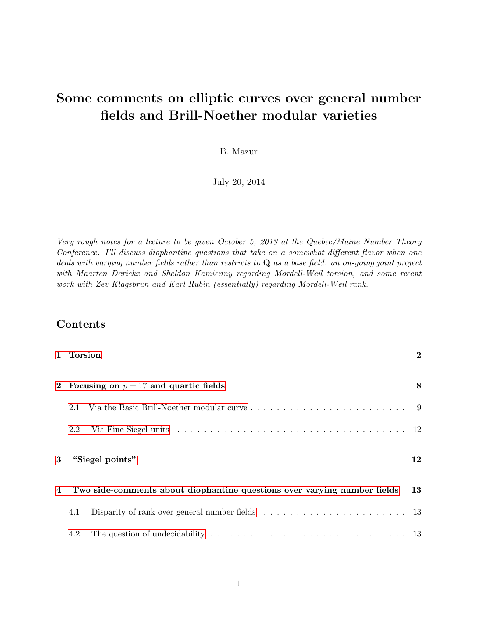# Some comments on elliptic curves over general number fields and Brill-Noether modular varieties

B. Mazur

July 20, 2014

Very rough notes for a lecture to be given October 5, 2013 at the Quebec/Maine Number Theory Conference. I'll discuss diophantine questions that take on a somewhat different flavor when one deals with varying number fields rather than restricts to  $\bf{Q}$  as a base field: an on-going joint project with Maarten Derickx and Sheldon Kamienny regarding Mordell-Weil torsion, and some recent work with Zev Klagsbrun and Karl Rubin (essentially) regarding Mordell-Weil rank.

## Contents

|   | 1 Torsion                                                                |                                                                                                         | $\bf{2}$ |  |  |  |
|---|--------------------------------------------------------------------------|---------------------------------------------------------------------------------------------------------|----------|--|--|--|
|   | 2 Focusing on $p = 17$ and quartic fields                                | 8                                                                                                       |          |  |  |  |
|   | 2.1                                                                      |                                                                                                         |          |  |  |  |
|   | 2.2                                                                      |                                                                                                         |          |  |  |  |
| 3 | "Siegel points"                                                          |                                                                                                         |          |  |  |  |
| 4 | Two side-comments about diophantine questions over varying number fields |                                                                                                         |          |  |  |  |
|   | 4.1                                                                      | Disparity of rank over general number fields $\dots \dots \dots \dots \dots \dots \dots \dots \dots$ 13 |          |  |  |  |
|   | 4.2                                                                      |                                                                                                         |          |  |  |  |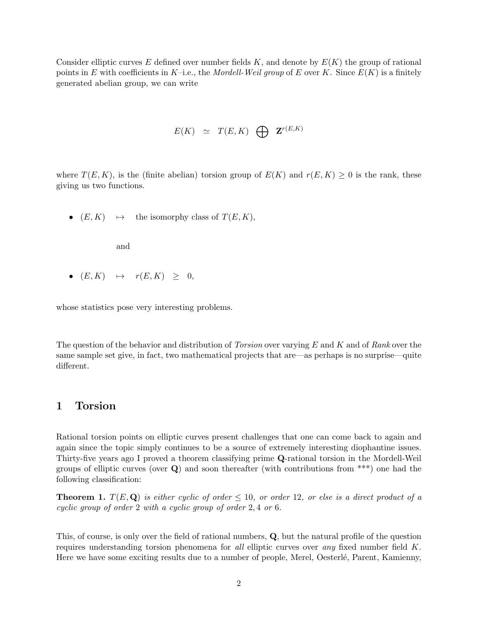Consider elliptic curves E defined over number fields  $K$ , and denote by  $E(K)$  the group of rational points in E with coefficients in K–i.e., the Mordell-Weil group of E over K. Since  $E(K)$  is a finitely generated abelian group, we can write

$$
E(K) \cong T(E,K) \quad \bigoplus \quad \mathbf{Z}^{r(E,K)}
$$

where  $T(E, K)$ , is the (finite abelian) torsion group of  $E(K)$  and  $r(E, K) \geq 0$  is the rank, these giving us two functions.

•  $(E, K) \rightarrow$  the isomorphy class of  $T(E, K)$ ,

and

•  $(E, K) \rightarrow r(E, K) > 0,$ 

whose statistics pose very interesting problems.

The question of the behavior and distribution of *Torsion* over varying  $E$  and  $K$  and of Rank over the same sample set give, in fact, two mathematical projects that are—as perhaps is no surprise—quite different.

#### <span id="page-1-0"></span>1 Torsion

Rational torsion points on elliptic curves present challenges that one can come back to again and again since the topic simply continues to be a source of extremely interesting diophantine issues. Thirty-five years ago I proved a theorem classifying prime Q-rational torsion in the Mordell-Weil groups of elliptic curves (over  $Q$ ) and soon thereafter (with contributions from \*\*\*) one had the following classification:

**Theorem 1.**  $T(E, \mathbf{Q})$  is either cyclic of order  $\leq 10$ , or order 12, or else is a direct product of a cyclic group of order 2 with a cyclic group of order 2, 4 or 6.

This, of course, is only over the field of rational numbers, Q, but the natural profile of the question requires understanding torsion phenomena for all elliptic curves over any fixed number field  $K$ . Here we have some exciting results due to a number of people, Merel, Oesterlé, Parent, Kamienny,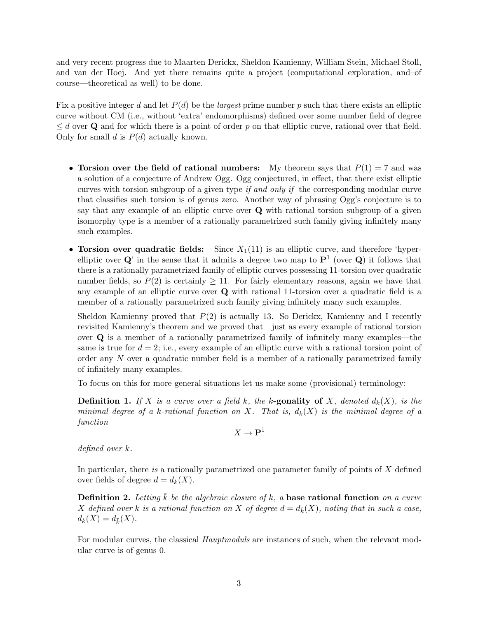and very recent progress due to Maarten Derickx, Sheldon Kamienny, William Stein, Michael Stoll, and van der Hoej. And yet there remains quite a project (computational exploration, and–of course—theoretical as well) to be done.

Fix a positive integer d and let  $P(d)$  be the *largest* prime number p such that there exists an elliptic curve without CM (i.e., without 'extra' endomorphisms) defined over some number field of degree  $\leq d$  over Q and for which there is a point of order p on that elliptic curve, rational over that field. Only for small d is  $P(d)$  actually known.

- Torsion over the field of rational numbers: My theorem says that  $P(1) = 7$  and was a solution of a conjecture of Andrew Ogg. Ogg conjectured, in effect, that there exist elliptic curves with torsion subgroup of a given type if and only if the corresponding modular curve that classifies such torsion is of genus zero. Another way of phrasing Ogg's conjecture is to say that any example of an elliptic curve over Q with rational torsion subgroup of a given isomorphy type is a member of a rationally parametrized such family giving infinitely many such examples.
- Torsion over quadratic fields: Since  $X_1(11)$  is an elliptic curve, and therefore 'hyperelliptic over  $\mathbf{Q}'$  in the sense that it admits a degree two map to  $\mathbf{P}^1$  (over  $\mathbf{Q}$ ) it follows that there is a rationally parametrized family of elliptic curves possessing 11-torsion over quadratic number fields, so  $P(2)$  is certainly  $\geq 11$ . For fairly elementary reasons, again we have that any example of an elliptic curve over Q with rational 11-torsion over a quadratic field is a member of a rationally parametrized such family giving infinitely many such examples.

Sheldon Kamienny proved that  $P(2)$  is actually 13. So Derickx, Kamienny and I recently revisited Kamienny's theorem and we proved that—just as every example of rational torsion over Q is a member of a rationally parametrized family of infinitely many examples—the same is true for  $d = 2$ ; i.e., every example of an elliptic curve with a rational torsion point of order any N over a quadratic number field is a member of a rationally parametrized family of infinitely many examples.

To focus on this for more general situations let us make some (provisional) terminology:

**Definition 1.** If X is a curve over a field k, the k-gonality of X, denoted  $d_k(X)$ , is the minimal degree of a k-rational function on X. That is,  $d_k(X)$  is the minimal degree of a function

 $X \to \mathbf{P}^1$ 

defined over k.

In particular, there is a rationally parametrized one parameter family of points of  $X$  defined over fields of degree  $d = d_k(X)$ .

**Definition 2.** Letting k be the algebraic closure of k, a base rational function on a curve X defined over k is a rational function on X of degree  $d = d_{\bar{k}}(X)$ , noting that in such a case,  $d_k(X) = d_{\bar{k}}(X)$ .

For modular curves, the classical *Hauptmoduls* are instances of such, when the relevant modular curve is of genus 0.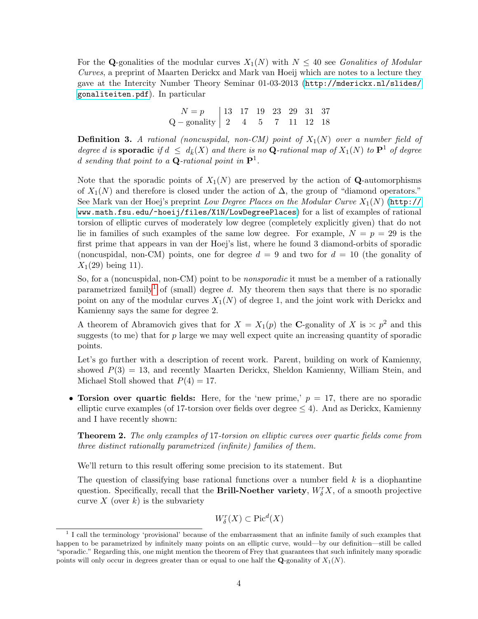For the Q-gonalities of the modular curves  $X_1(N)$  with  $N \leq 40$  see Gonalities of Modular Curves, a preprint of Maarten Derickx and Mark van Hoeij which are notes to a lecture they gave at the Intercity Number Theory Seminar 01-03-2013 ([http://mderickx.nl/slides/](http://mderickx.nl/slides/gonaliteiten.pdf) [gonaliteiten.pdf](http://mderickx.nl/slides/gonaliteiten.pdf)). In particular

| $N = p$   13 17 19 23 29 31 37                                              |  |  |  |  |
|-----------------------------------------------------------------------------|--|--|--|--|
| $Q -$ gonality $\begin{vmatrix} 2 & 4 & 5 & 7 & 11 & 12 & 18 \end{vmatrix}$ |  |  |  |  |

**Definition 3.** A rational (noncuspidal, non-CM) point of  $X_1(N)$  over a number field of degree d is **sporadic** if  $d \leq d_{\bar{k}}(X)$  and there is no **Q**-rational map of  $X_1(N)$  to  $\mathbf{P}^1$  of degree d sending that point to a **Q**-rational point in  $\mathbf{P}^1$ .

Note that the sporadic points of  $X_1(N)$  are preserved by the action of **Q**-automorphisms of  $X_1(N)$  and therefore is closed under the action of  $\Delta$ , the group of "diamond operators." See Mark van der Hoej's preprint Low Degree Places on the Modular Curve  $X_1(N)$  ([http://](http://www.math.fsu.edu/~hoeij/files/X1N/LowDegreePlaces) [www.math.fsu.edu/~hoeij/files/X1N/LowDegreePlaces](http://www.math.fsu.edu/~hoeij/files/X1N/LowDegreePlaces)) for a list of examples of rational torsion of elliptic curves of moderately low degree (completely explicitly given) that do not lie in families of such examples of the same low degree. For example,  $N = p = 29$  is the first prime that appears in van der Hoej's list, where he found 3 diamond-orbits of sporadic (noncuspidal, non-CM) points, one for degree  $d = 9$  and two for  $d = 10$  (the gonality of  $X_1(29)$  being 11).

So, for a (noncuspidal, non-CM) point to be *nonsporadic* it must be a member of a rationally parametrized family<sup>[1](#page-3-0)</sup> of (small) degree d. My theorem then says that there is no sporadic point on any of the modular curves  $X_1(N)$  of degree 1, and the joint work with Derickx and Kamienny says the same for degree 2.

A theorem of Abramovich gives that for  $X = X_1(p)$  the C-gonality of X is  $\approx p^2$  and this suggests (to me) that for  $p$  large we may well expect quite an increasing quantity of sporadic points.

Let's go further with a description of recent work. Parent, building on work of Kamienny, showed  $P(3) = 13$ , and recently Maarten Derickx, Sheldon Kamienny, William Stein, and Michael Stoll showed that  $P(4) = 17$ .

• Torsion over quartic fields: Here, for the 'new prime,'  $p = 17$ , there are no sporadic elliptic curve examples (of 17-torsion over fields over degree  $\leq 4$ ). And as Derickx, Kamienny and I have recently shown:

**Theorem 2.** The only examples of 17-torsion on elliptic curves over quartic fields come from three distinct rationally parametrized (infinite) families of them.

We'll return to this result offering some precision to its statement. But

The question of classifying base rational functions over a number field  $k$  is a diophantine question. Specifically, recall that the **Brill-Noether variety**,  $W_{\delta}^{r}X$ , of a smooth projective curve X (over k) is the subvariety

$$
W^r_{\delta}(X) \subset \text{Pic}^d(X)
$$

<span id="page-3-0"></span><sup>&</sup>lt;sup>1</sup> I call the terminology 'provisional' because of the embarrassment that an infinite family of such examples that happen to be parametrized by infinitely many points on an elliptic curve, would—by our definition—still be called "sporadic." Regarding this, one might mention the theorem of Frey that guarantees that such infinitely many sporadic points will only occur in degrees greater than or equal to one half the **Q**-gonality of  $X_1(N)$ .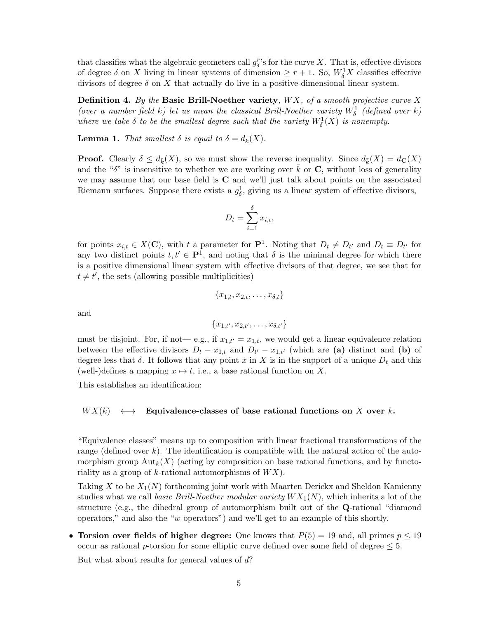that classifies what the algebraic geometers call  $g_{\delta}^{r}$ 's for the curve X. That is, effective divisors of degree  $\delta$  on X living in linear systems of dimension  $\geq r+1$ . So,  $W_\delta^1 X$  classifies effective divisors of degree  $\delta$  on X that actually do live in a positive-dimensional linear system.

**Definition 4.** By the **Basic Brill-Noether variety**,  $WX$ , of a smooth projective curve X (over a number field k) let us mean the classical Brill-Noether variety  $W^1_\delta$  (defined over k) where we take  $\delta$  to be the smallest degree such that the variety  $W^1_{\delta}(X)$  is nonempty.

**Lemma 1.** That smallest  $\delta$  is equal to  $\delta = d_{\bar{k}}(X)$ .

**Proof.** Clearly  $\delta \leq d_{\bar{k}}(X)$ , so we must show the reverse inequality. Since  $d_{\bar{k}}(X) = d_{\mathbb{C}}(X)$ and the " $\delta$ " is insensitive to whether we are working over k or C, without loss of generality we may assume that our base field is C and we'll just talk about points on the associated Riemann surfaces. Suppose there exists a  $g^1_\delta$ , giving us a linear system of effective divisors,

$$
D_t = \sum_{i=1}^{\delta} x_{i,t},
$$

for points  $x_{i,t} \in X(\mathbf{C})$ , with t a parameter for  $\mathbf{P}^1$ . Noting that  $D_t \neq D_{t'}$  and  $D_t \equiv D_{t'}$  for any two distinct points  $t, t' \in \mathbf{P}^1$ , and noting that  $\delta$  is the minimal degree for which there is a positive dimensional linear system with effective divisors of that degree, we see that for  $t \neq t'$ , the sets (allowing possible multiplicities)

$$
\{x_{1,t}, x_{2,t}, \ldots, x_{\delta,t}\}
$$

and

$$
\{x_{1,t'}, x_{2,t'}, \ldots, x_{\delta,t'}\}
$$

must be disjoint. For, if not — e.g., if  $x_{1,t'} = x_{1,t}$ , we would get a linear equivalence relation between the effective divisors  $D_t - x_{1,t}$  and  $D_{t'} - x_{1,t'}$  (which are (a) distinct and (b) of degree less that  $\delta$ . It follows that any point x in X is in the support of a unique  $D_t$  and this (well-)defines a mapping  $x \mapsto t$ , i.e., a base rational function on X.

This establishes an identification:

#### $WX(k) \longleftrightarrow$  Equivalence-classes of base rational functions on X over k.

"Equivalence classes" means up to composition with linear fractional transformations of the range (defined over  $k$ ). The identification is compatible with the natural action of the automorphism group  ${\rm Aut}_k(X)$  (acting by composition on base rational functions, and by functoriality as a group of k-rational automorphisms of  $WX$ ).

Taking X to be  $X_1(N)$  forthcoming joint work with Maarten Derickx and Sheldon Kamienny studies what we call basic Brill-Noether modular variety  $WX_1(N)$ , which inherits a lot of the structure (e.g., the dihedral group of automorphism built out of the Q-rational "diamond operators," and also the "w operators") and we'll get to an example of this shortly.

• Torsion over fields of higher degree: One knows that  $P(5) = 19$  and, all primes  $p \le 19$ occur as rational p-torsion for some elliptic curve defined over some field of degree  $\leq 5$ .

But what about results for general values of d?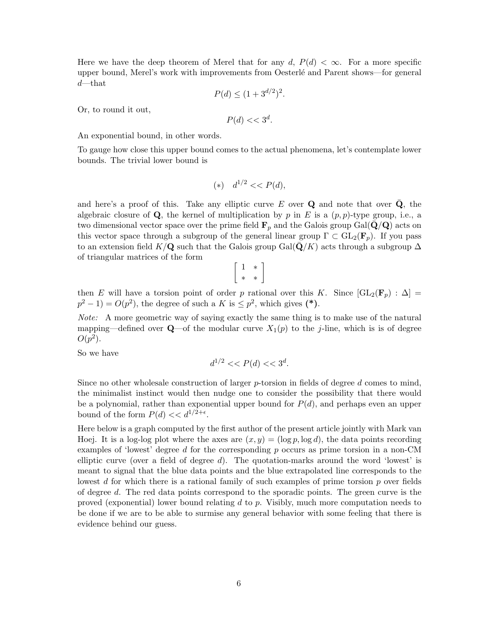Here we have the deep theorem of Merel that for any d,  $P(d) < \infty$ . For a more specific upper bound, Merel's work with improvements from Oesterl´e and Parent shows—for general  $d$ —that

$$
P(d) \le (1 + 3^{d/2})^2.
$$

Or, to round it out,

$$
P(d) << 3^d.
$$

An exponential bound, in other words.

To gauge how close this upper bound comes to the actual phenomena, let's contemplate lower bounds. The trivial lower bound is

$$
(*) \t d^{1/2} << P(d),
$$

and here's a proof of this. Take any elliptic curve E over  $\bf{Q}$  and note that over  $\bf{Q}$ , the algebraic closure of  $Q$ , the kernel of multiplication by p in E is a  $(p, p)$ -type group, i.e., a two dimensional vector space over the prime field  $\mathbf{F}_p$  and the Galois group Gal( $\mathbf{Q}/\mathbf{Q}$ ) acts on this vector space through a subgroup of the general linear group  $\Gamma \subset GL_2(\mathbf{F}_p)$ . If you pass to an extension field K/Q such that the Galois group Gal( $\bar{Q}/K$ ) acts through a subgroup  $\Delta$ of triangular matrices of the form

$$
\left[\begin{array}{cc} 1 & * \\ * & * \end{array}\right]
$$

then E will have a torsion point of order p rational over this K. Since  $[\text{GL}_2(\mathbf{F}_p) : \Delta] =$  $p^2 - 1$  =  $O(p^2)$ , the degree of such a K is  $\leq p^2$ , which gives (\*).

Note: A more geometric way of saying exactly the same thing is to make use of the natural mapping—defined over  $\mathbf{Q}$ —of the modular curve  $X_1(p)$  to the j-line, which is is of degree  $O(p^2)$ .

So we have

$$
d^{1/2} \ll P(d) \ll 3^d.
$$

Since no other wholesale construction of larger  $p$ -torsion in fields of degree  $d$  comes to mind, the minimalist instinct would then nudge one to consider the possibility that there would be a polynomial, rather than exponential upper bound for  $P(d)$ , and perhaps even an upper bound of the form  $P(d) \ll d^{1/2+\epsilon}$ .

Here below is a graph computed by the first author of the present article jointly with Mark van Hoej. It is a log-log plot where the axes are  $(x, y) = (\log p, \log d)$ , the data points recording examples of 'lowest' degree d for the corresponding  $p$  occurs as prime torsion in a non-CM elliptic curve (over a field of degree  $d$ ). The quotation-marks around the word 'lowest' is meant to signal that the blue data points and the blue extrapolated line corresponds to the lowest d for which there is a rational family of such examples of prime torsion  $p$  over fields of degree d. The red data points correspond to the sporadic points. The green curve is the proved (exponential) lower bound relating  $d$  to  $p$ . Visibly, much more computation needs to be done if we are to be able to surmise any general behavior with some feeling that there is evidence behind our guess.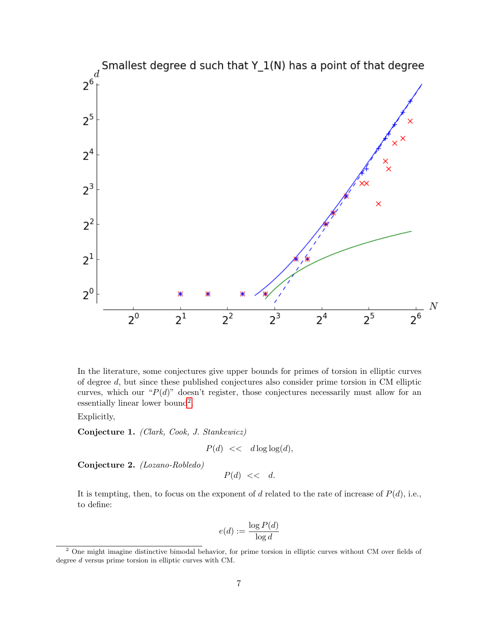

In the literature, some conjectures give upper bounds for primes of torsion in elliptic curves of degree d, but since these published conjectures also consider prime torsion in CM elliptic curves, which our " $P(d)$ " doesn't register, those conjectures necessarily must allow for an essentially linear lower bound<sup>[2](#page-6-0)</sup>.

Explicitly,

Conjecture 1. (Clark, Cook, J. Stankewicz)

 $P(d) \, << \, d \log \log(d),$ 

Conjecture 2. (Lozano-Robledo)

 $P(d) \ll d$ .

It is tempting, then, to focus on the exponent of d related to the rate of increase of  $P(d)$ , i.e., to define:

$$
e(d) := \frac{\log P(d)}{\log d}
$$

<span id="page-6-0"></span><sup>2</sup> One might imagine distinctive bimodal behavior, for prime torsion in elliptic curves without CM over fields of degree d versus prime torsion in elliptic curves with CM.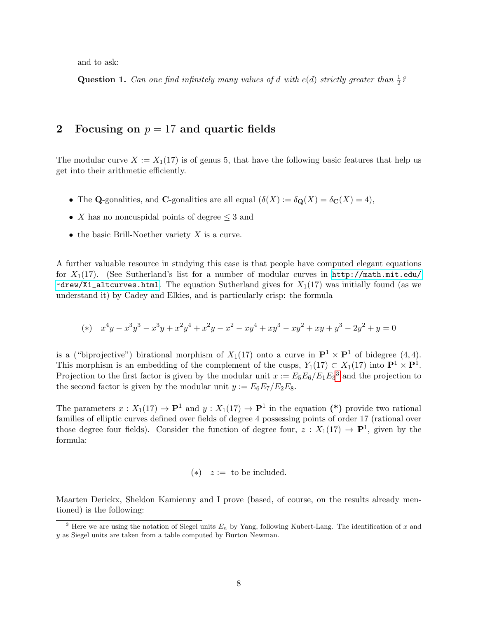and to ask:

**Question 1.** Can one find infinitely many values of d with  $e(d)$  strictly greater than  $\frac{1}{2}$ ?

### <span id="page-7-0"></span>2 Focusing on  $p = 17$  and quartic fields

The modular curve  $X := X_1(17)$  is of genus 5, that have the following basic features that help us get into their arithmetic efficiently.

- The Q-gonalities, and C-gonalities are all equal  $(\delta(X) := \delta_{\mathbf{Q}}(X) = \delta_{\mathbf{C}}(X) = 4)$ ,
- X has no noncuspidal points of degree  $\leq$  3 and
- the basic Brill-Noether variety  $X$  is a curve.

A further valuable resource in studying this case is that people have computed elegant equations for  $X_1(17)$ . (See Sutherland's list for a number of modular curves in [http://math.mit.edu/]( http://math.mit.edu/~drew/X1_altcurves.html)  $\tau$ drew/X1\_altcurves.html. The equation Sutherland gives for  $X_1(17)$  was initially found (as we understand it) by Cadey and Elkies, and is particularly crisp: the formula

$$
(*)\quad x^4y-x^3y^3-x^3y+x^2y^4+x^2y-x^2-xy^4+xy^3-xy^2+xy+y^3-2y^2+y=0
$$

is a ("biprojective") birational morphism of  $X_1(17)$  onto a curve in  $\mathbf{P}^1 \times \mathbf{P}^1$  of bidegree  $(4, 4)$ . This morphism is an embedding of the complement of the cusps,  $Y_1(17) \subset X_1(17)$  into  $\mathbf{P}^1 \times \mathbf{P}^1$ . Projection to the first factor is given by the modular unit  $x := E_5 E_6 / E_1 E_3^3$  $x := E_5 E_6 / E_1 E_3^3$  $x := E_5 E_6 / E_1 E_3^3$  and the projection to the second factor is given by the modular unit  $y := E_6E_7/E_2E_8$ .

The parameters  $x: X_1(17) \to \mathbf{P}^1$  and  $y: X_1(17) \to \mathbf{P}^1$  in the equation (\*) provide two rational families of elliptic curves defined over fields of degree 4 possessing points of order 17 (rational over those degree four fields). Consider the function of degree four,  $z: X_1(17) \to \mathbf{P}^1$ , given by the formula:

$$
(*) \quad z := \text{ to be included.}
$$

Maarten Derickx, Sheldon Kamienny and I prove (based, of course, on the results already mentioned) is the following:

<span id="page-7-1"></span><sup>&</sup>lt;sup>3</sup> Here we are using the notation of Siegel units  $E_n$  by Yang, following Kubert-Lang. The identification of x and  $\boldsymbol{y}$  as Siegel units are taken from a table computed by Burton Newman.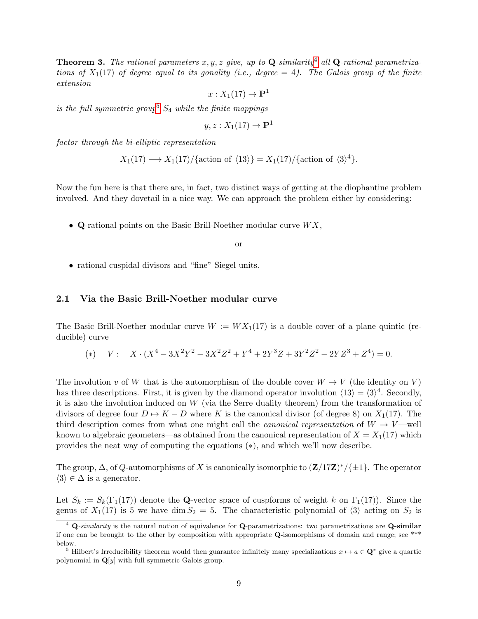**Theorem 3.** The rational parameters x, y, z give, up to Q-similarity<sup>[4](#page-8-1)</sup> all Q-rational parametrizations of  $X_1(17)$  of degree equal to its gonality (i.e., degree = 4). The Galois group of the finite extension

$$
x:X_1(17)\to{\bf P}^1
$$

is the full symmetric group<sup>[5](#page-8-2)</sup>  $S_4$  while the finite mappings

$$
y, z: X_1(17) \to \mathbf{P}^1
$$

factor through the bi-elliptic representation

$$
X_1(17) \longrightarrow X_1(17)/\{\text{action of }\langle 13 \rangle\} = X_1(17)/\{\text{action of }\langle 3 \rangle^4\}.
$$

Now the fun here is that there are, in fact, two distinct ways of getting at the diophantine problem involved. And they dovetail in a nice way. We can approach the problem either by considering:

• Q-rational points on the Basic Brill-Noether modular curve  $WX$ ,

or

• rational cuspidal divisors and "fine" Siegel units.

#### <span id="page-8-0"></span>2.1 Via the Basic Brill-Noether modular curve

The Basic Brill-Noether modular curve  $W := W X_1(17)$  is a double cover of a plane quintic (reducible) curve

(\*) 
$$
V: X \cdot (X^4 - 3X^2Y^2 - 3X^2Z^2 + Y^4 + 2Y^3Z + 3Y^2Z^2 - 2YZ^3 + Z^4) = 0.
$$

The involution v of W that is the automorphism of the double cover  $W \to V$  (the identity on V) has three descriptions. First, it is given by the diamond operator involution  $\langle 13 \rangle = \langle 3 \rangle^4$ . Secondly, it is also the involution induced on  $W$  (via the Serre duality theorem) from the transformation of divisors of degree four  $D \rightarrow K - D$  where K is the canonical divisor (of degree 8) on  $X_1(17)$ . The third description comes from what one might call the *canonical representation* of  $W \to V$ —well known to algebraic geometers—as obtained from the canonical representation of  $X = X_1(17)$  which provides the neat way of computing the equations (∗), and which we'll now describe.

The group,  $\Delta$ , of Q-automorphisms of X is canonically isomorphic to  $(\mathbf{Z}/17\mathbf{Z})^*/\{\pm 1\}$ . The operator  $\langle 3 \rangle \in \Delta$  is a generator.

Let  $S_k := S_k(\Gamma_1(17))$  denote the Q-vector space of cuspforms of weight k on  $\Gamma_1(17)$ ). Since the genus of  $X_1(17)$  is 5 we have dim  $S_2 = 5$ . The characteristic polynomial of  $\langle 3 \rangle$  acting on  $S_2$  is

<span id="page-8-1"></span> $4$  Q-similarity is the natural notion of equivalence for Q-parametrizations: two parametrizations are Q-similar if one can be brought to the other by composition with appropriate Q-isomorphisms of domain and range; see \*\*\* below.

<span id="page-8-2"></span><sup>&</sup>lt;sup>5</sup> Hilbert's Irreducibility theorem would then guarantee infinitely many specializations  $x \mapsto a \in \mathbf{Q}^*$  give a quartic polynomial in  $\mathbf{Q}[y]$  with full symmetric Galois group.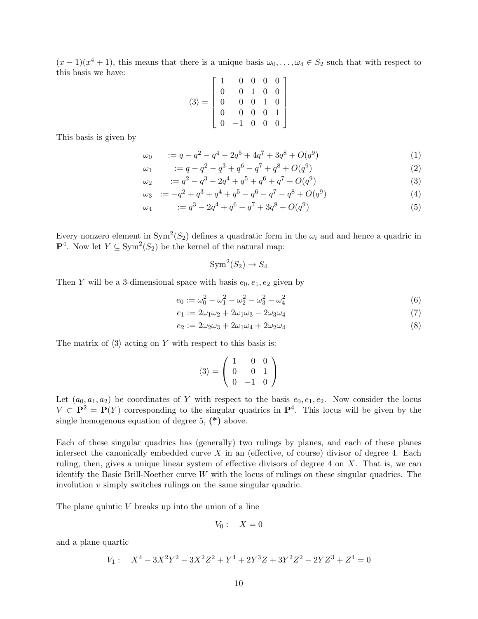$(x-1)(x^4+1)$ , this means that there is a unique basis  $\omega_0, \ldots, \omega_4 \in S_2$  such that with respect to this basis we have:

$$
\langle 3 \rangle = \begin{bmatrix} 1 & 0 & 0 & 0 & 0 \\ 0 & 0 & 1 & 0 & 0 \\ 0 & 0 & 0 & 1 & 0 \\ 0 & 0 & 0 & 0 & 1 \\ 0 & -1 & 0 & 0 & 0 \end{bmatrix}
$$

This basis is given by

$$
\omega_0 \qquad := q - q^2 - q^4 - 2q^5 + 4q^7 + 3q^8 + O(q^9) \tag{1}
$$

$$
\omega_1 \qquad := q - q^2 - q^3 + q^6 - q^7 + q^8 + O(q^9) \tag{2}
$$

$$
\omega_2 = q^2 - q^3 - 2q^4 + q^5 + q^6 + q^7 + O(q^9) \tag{3}
$$

$$
\omega_3 \quad := -q^2 + q^3 + q^4 + q^5 - q^6 - q^7 - q^8 + O(q^9) \tag{4}
$$

$$
\omega_4 \qquad := q^3 - 2q^4 + q^6 - q^7 + 3q^8 + O(q^9) \tag{5}
$$

Every nonzero element in  $Sym^2(S_2)$  defines a quadratic form in the  $\omega_i$  and and hence a quadric in  $\mathbf{P}^4$ . Now let  $Y \subseteq \text{Sym}^2(S_2)$  be the kernel of the natural map:

$$
Sym^2(S_2) \to S_4
$$

Then Y will be a 3-dimensional space with basis  $e_0, e_1, e_2$  given by

$$
e_0 := \omega_0^2 - \omega_1^2 - \omega_2^2 - \omega_3^2 - \omega_4^2 \tag{6}
$$

$$
e_1 := 2\omega_1\omega_2 + 2\omega_1\omega_3 - 2\omega_3\omega_4\tag{7}
$$

$$
e_2 := 2\omega_2\omega_3 + 2\omega_1\omega_4 + 2\omega_2\omega_4 \tag{8}
$$

The matrix of  $\langle 3 \rangle$  acting on Y with respect to this basis is:

$$
\langle 3 \rangle = \left( \begin{array}{rrr} 1 & 0 & 0 \\ 0 & 0 & 1 \\ 0 & -1 & 0 \end{array} \right)
$$

Let  $(a_0, a_1, a_2)$  be coordinates of Y with respect to the basis  $e_0, e_1, e_2$ . Now consider the locus  $V \subset \mathbf{P}^2 = \mathbf{P}(Y)$  corresponding to the singular quadrics in  $\mathbf{P}^4$ . This locus will be given by the single homogenous equation of degree 5, (\*) above.

Each of these singular quadrics has (generally) two rulings by planes, and each of these planes intersect the canonically embedded curve  $X$  in an (effective, of course) divisor of degree 4. Each ruling, then, gives a unique linear system of effective divisors of degree  $4$  on  $X$ . That is, we can identify the Basic Brill-Noether curve  $W$  with the locus of rulings on these singular quadrics. The involution v simply switches rulings on the same singular quadric.

The plane quintic  $V$  breaks up into the union of a line

$$
V_0: \quad X=0
$$

and a plane quartic

$$
V_1: \quad X^4 - 3X^2Y^2 - 3X^2Z^2 + Y^4 + 2Y^3Z + 3Y^2Z^2 - 2YZ^3 + Z^4 = 0
$$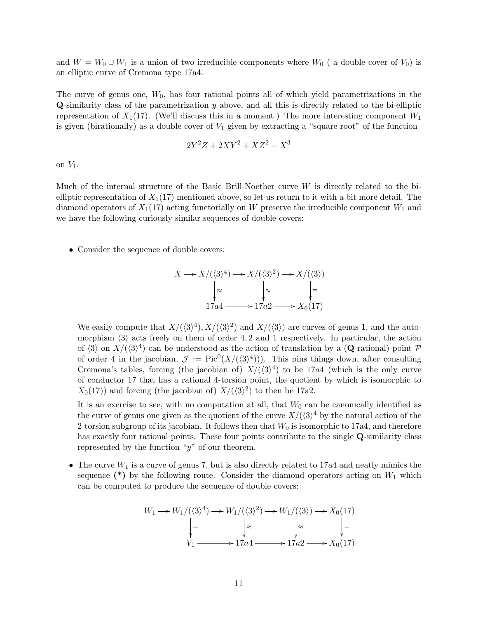and  $W = W_0 \cup W_1$  is a union of two irreducible components where  $W_0$  (a double cover of  $V_0$ ) is an elliptic curve of Cremona type 17a4.

The curve of genus one,  $W_0$ , has four rational points all of which yield parametrizations in the Q-similarity class of the parametrization y above, and all this is directly related to the bi-elliptic representation of  $X_1(17)$ . (We'll discuss this in a moment.) The more interesting component  $W_1$ is given (birationally) as a double cover of  $V_1$  given by extracting a "square root" of the function

$$
2Y^2Z + 2XY^2 + XZ^2 - X^3
$$

on  $V_1$ .

Much of the internal structure of the Basic Brill-Noether curve W is directly related to the bielliptic representation of  $X_1(17)$  mentioned above, so let us return to it with a bit more detail. The diamond operators of  $X_1(17)$  acting functorially on W preserve the irreducible component  $W_1$  and we have the following curiously similar sequences of double covers:

• Consider the sequence of double covers:

$$
X \longrightarrow X/(\langle 3 \rangle^4) \longrightarrow X/(\langle 3 \rangle^2) \longrightarrow X/(\langle 3 \rangle)
$$

$$
\downarrow \approx \qquad \qquad \downarrow \approx \qquad \qquad \downarrow =
$$

$$
17a4 \longrightarrow 17a2 \longrightarrow X_0(17)
$$

We easily compute that  $X/(\langle 3 \rangle^4)$ ,  $X/(\langle 3 \rangle^2)$  and  $X/(\langle 3 \rangle)$  are curves of genus 1, and the automorphism  $\langle 3 \rangle$  acts freely on them of order 4, 2 and 1 respectively. In particular, the action of  $\langle 3 \rangle$  on  $X/(\langle 3 \rangle^4)$  can be understood as the action of translation by a (Q-rational) point P of order 4 in the jacobian,  $\mathcal{J} := Pic^0(X/(\langle 3\rangle^4)))$ . This pins things down, after consulting Cremona's tables, forcing (the jacobian of)  $X/(\langle 3 \rangle^4)$  to be 17a4 (which is the only curve of conductor 17 that has a rational 4-torsion point, the quotient by which is isomorphic to  $X_0(17)$  and forcing (the jacobian of)  $X/(\langle 3\rangle^2)$  to then be 17a2.

It is an exercise to see, with no computation at all, that  $W_0$  can be canonically identified as the curve of genus one given as the quotient of the curve  $X/(\langle 3 \rangle^4$  by the natural action of the 2-torsion subgroup of its jacobian. It follows then that  $W_0$  is isomorphic to 17a4, and therefore has exactly four rational points. These four points contribute to the single Q-similarity class represented by the function " $y$ " of our theorem.

• The curve  $W_1$  is a curve of genus 7, but is also directly related to 17a4 and neatly mimics the sequence  $(*)$  by the following route. Consider the diamond operators acting on  $W_1$  which can be computed to produce the sequence of double covers:

W<sup>1</sup> /W1/(h3i 4 ) / = W1/(h3i 2 ) / ≈ W1/(h3i) / ≈ X0(17) = V1 /17a4 /17a2 /X0(17)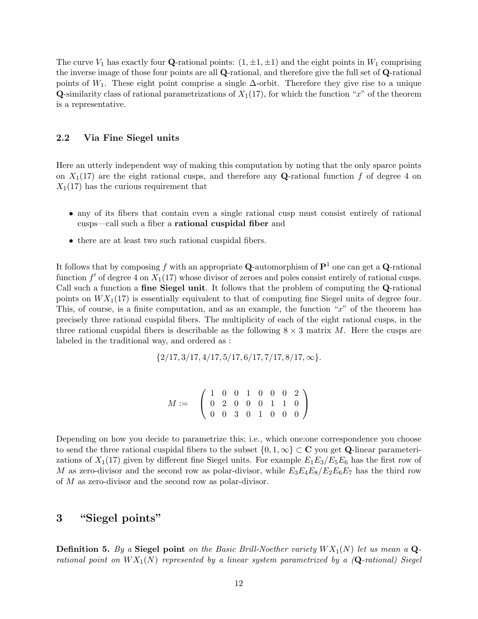The curve  $V_1$  has exactly four **Q**-rational points:  $(1, \pm 1, \pm 1)$  and the eight points in  $W_1$  comprising the inverse image of those four points are all Q-rational, and therefore give the full set of Q-rational points of W<sub>1</sub>. These eight point comprise a single  $\Delta$ -orbit. Therefore they give rise to a unique **Q**-similarity class of rational parametrizations of  $X_1(17)$ , for which the function "x" of the theorem is a representative.

#### <span id="page-11-0"></span>2.2 Via Fine Siegel units

Here an utterly independent way of making this computation by noting that the only sparce points on  $X_1(17)$  are the eight rational cusps, and therefore any **Q**-rational function f of degree 4 on  $X_1(17)$  has the curious requirement that

- any of its fibers that contain even a single rational cusp must consist entirely of rational cusps—call such a fiber a rational cuspidal fiber and
- there are at least two such rational cuspidal fibers.

It follows that by composing f with an appropriate Q-automorphism of  $\mathbf{P}^1$  one can get a Q-rational function  $f'$  of degree 4 on  $X_1(17)$  whose divisor of zeroes and poles consist entirely of rational cusps. Call such a function a fine Siegel unit. It follows that the problem of computing the Q-rational points on  $WX_1(17)$  is essentially equivalent to that of computing fine Siegel units of degree four. This, of course, is a finite computation, and as an example, the function "x" of the theorem has precisely three rational cuspidal fibers. The multiplicity of each of the eight rational cusps, in the three rational cuspidal fibers is describable as the following  $8 \times 3$  matrix M. Here the cusps are labeled in the traditional way, and ordered as :

$$
\{2/17, 3/17, 4/17, 5/17, 6/17, 7/17, 8/17, \infty\}.
$$

$$
M := \left(\begin{array}{cccccc} 1 & 0 & 0 & 1 & 0 & 0 & 0 & 2 \\ 0 & 2 & 0 & 0 & 0 & 1 & 1 & 0 \\ 0 & 0 & 3 & 0 & 1 & 0 & 0 & 0 \end{array}\right)
$$

Depending on how you decide to parametrize this; i.e., which one:one correspondence you choose to send the three rational cuspidal fibers to the subset  $\{0, 1, \infty\} \subset \mathbf{C}$  you get Q-linear parameterizations of  $X_1(17)$  given by different fine Siegel units. For example  $E_1E_3/E_5E_6$  has the first row of M as zero-divisor and the second row as polar-divisor, while  $E_3E_4E_8/E_2E_6E_7$  has the third row of M as zero-divisor and the second row as polar-divisor.

### <span id="page-11-1"></span>3 "Siegel points"

**Definition 5.** By a Siegel point on the Basic Brill-Noether variety  $WX_1(N)$  let us mean a  $\mathbf{Q}$ rational point on  $WX_1(N)$  represented by a linear system parametrized by a  $(Q$ -rational) Siegel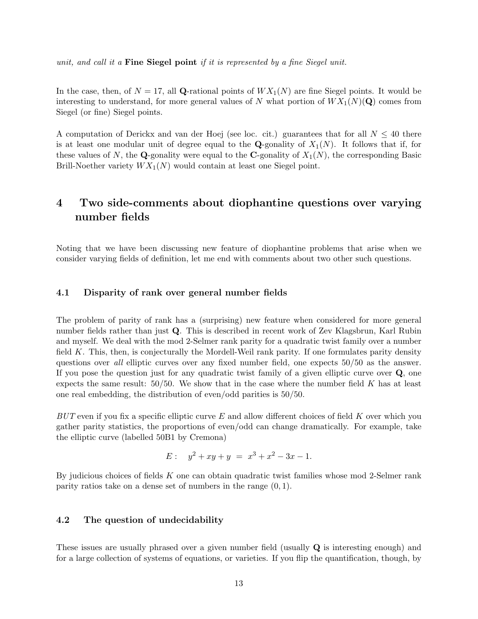unit, and call it a **Fine Siegel point** if it is represented by a fine Siegel unit.

In the case, then, of  $N = 17$ , all Q-rational points of  $WX_1(N)$  are fine Siegel points. It would be interesting to understand, for more general values of N what portion of  $WX_1(N)(Q)$  comes from Siegel (or fine) Siegel points.

A computation of Derickx and van der Hoej (see loc. cit.) guarantees that for all  $N \leq 40$  there is at least one modular unit of degree equal to the **Q**-gonality of  $X_1(N)$ . It follows that if, for these values of N, the Q-gonality were equal to the C-gonality of  $X_1(N)$ , the corresponding Basic Brill-Noether variety  $WX_1(N)$  would contain at least one Siegel point.

### <span id="page-12-0"></span>4 Two side-comments about diophantine questions over varying number fields

Noting that we have been discussing new feature of diophantine problems that arise when we consider varying fields of definition, let me end with comments about two other such questions.

#### <span id="page-12-1"></span>4.1 Disparity of rank over general number fields

The problem of parity of rank has a (surprising) new feature when considered for more general number fields rather than just Q. This is described in recent work of Zev Klagsbrun, Karl Rubin and myself. We deal with the mod 2-Selmer rank parity for a quadratic twist family over a number field  $K$ . This, then, is conjecturally the Mordell-Weil rank parity. If one formulates parity density questions over all elliptic curves over any fixed number field, one expects 50/50 as the answer. If you pose the question just for any quadratic twist family of a given elliptic curve over Q, one expects the same result:  $50/50$ . We show that in the case where the number field K has at least one real embedding, the distribution of even/odd parities is 50/50.

 $BUT$  even if you fix a specific elliptic curve E and allow different choices of field K over which you gather parity statistics, the proportions of even/odd can change dramatically. For example, take the elliptic curve (labelled 50B1 by Cremona)

$$
E: \quad y^2 + xy + y \ = \ x^3 + x^2 - 3x - 1.
$$

By judicious choices of fields K one can obtain quadratic twist families whose mod 2-Selmer rank parity ratios take on a dense set of numbers in the range  $(0, 1)$ .

#### <span id="page-12-2"></span>4.2 The question of undecidability

These issues are usually phrased over a given number field (usually  $\bf{Q}$  is interesting enough) and for a large collection of systems of equations, or varieties. If you flip the quantification, though, by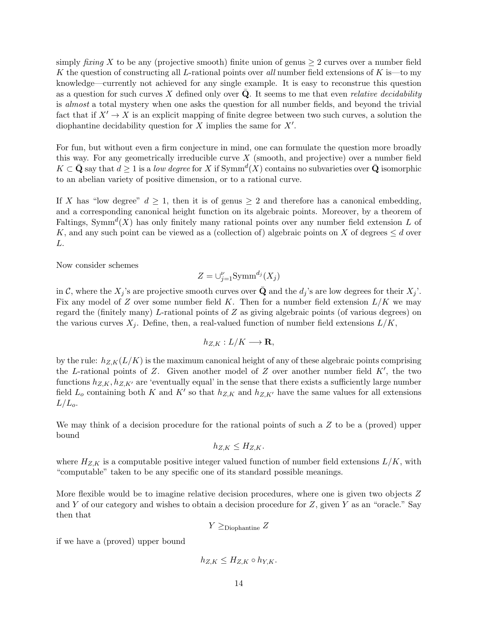simply *fixing* X to be any (projective smooth) finite union of genus  $\geq 2$  curves over a number field K the question of constructing all L-rational points over all number field extensions of K is—to my knowledge—currently not achieved for any single example. It is easy to reconstrue this question as a question for such curves  $X$  defined only over  $Q$ . It seems to me that even *relative decidability* is almost a total mystery when one asks the question for all number fields, and beyond the trivial fact that if  $X' \to X$  is an explicit mapping of finite degree between two such curves, a solution the diophantine decidability question for  $X$  implies the same for  $X'$ .

For fun, but without even a firm conjecture in mind, one can formulate the question more broadly this way. For any geometrically irreducible curve  $X$  (smooth, and projective) over a number field  $K \subset \bar{\mathbf{Q}}$  say that  $d \geq 1$  is a low degree for X if  $\text{Symm}^d(X)$  contains no subvarieties over  $\bar{\mathbf{Q}}$  isomorphic to an abelian variety of positive dimension, or to a rational curve.

If X has "low degree"  $d \geq 1$ , then it is of genus  $\geq 2$  and therefore has a canonical embedding, and a corresponding canonical height function on its algebraic points. Moreover, by a theorem of Faltings, Symm<sup> $d(X)$ </sup> has only finitely many rational points over any number field extension L of K, and any such point can be viewed as a (collection of) algebraic points on X of degrees  $\leq d$  over L.

Now consider schemes

$$
Z = \cup_{j=1}^{\nu} \text{Symm}^{d_j}(X_j)
$$

in C, where the  $X_j$ 's are projective smooth curves over Q and the  $d_j$ 's are low degrees for their  $X_j$ '. Fix any model of Z over some number field K. Then for a number field extension  $L/K$  we may regard the (finitely many) L-rational points of  $Z$  as giving algebraic points (of various degrees) on the various curves  $X_j$ . Define, then, a real-valued function of number field extensions  $L/K$ ,

$$
h_{Z,K}:L/K\longrightarrow \mathbf{R},
$$

by the rule:  $h_{Z,K}(L/K)$  is the maximum canonical height of any of these algebraic points comprising the L-rational points of Z. Given another model of Z over another number field  $K'$ , the two functions  $h_{Z,K}$ ,  $h_{Z,K'}$  are 'eventually equal' in the sense that there exists a sufficiently large number field  $L_o$  containing both K and K' so that  $h_{Z,K}$  and  $h_{Z,K'}$  have the same values for all extensions  $L/L_o$ .

We may think of a decision procedure for the rational points of such a Z to be a (proved) upper bound

$$
h_{Z,K} \le H_{Z,K}.
$$

where  $H_{Z,K}$  is a computable positive integer valued function of number field extensions  $L/K$ , with "computable" taken to be any specific one of its standard possible meanings.

More flexible would be to imagine relative decision procedures, where one is given two objects Z and Y of our category and wishes to obtain a decision procedure for  $Z$ , given Y as an "oracle." Say then that

 $Y \geq$ Diophantine  $Z$ 

if we have a (proved) upper bound

$$
h_{Z,K} \leq H_{Z,K} \circ h_{Y,K}.
$$